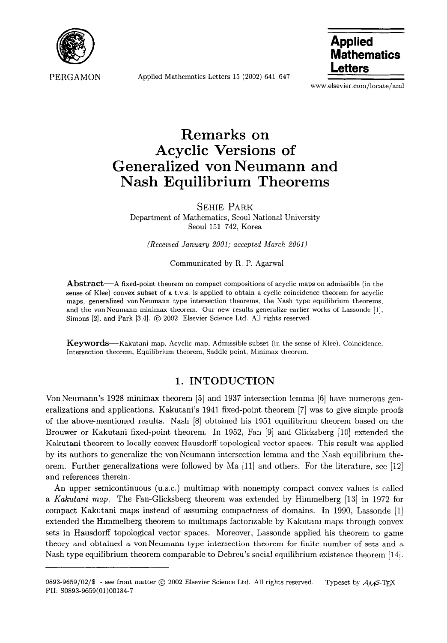

PERGAMON

Applied Mathematics Letters 15 (2002) 641-647

**Applied Mathematics Letters** 

www.elsevier.com/locate/aml

# **Remarks on Acyclic Versions of Generalized von Neumann and Nash Equilibrium Theorems**

SEHIE PARK Department of Mathematics, Seoul National University Seoul 151-742, Korea

*(Received* January 2001; *accepted March 2001)* 

#### Communicated by R. P. Agarwal

Abstract-A fixed-point theorem on compact compositions of acyclic maps on admissible (in the sense of Klee) convex subset of a t.v.s. is applied to obtain a cyclic coincidence theorem for acyclic maps, generalized von Neumann type intersection theorems, the Nash type equilibrium theorems, and the von Neumann minimax theorem. Our new results generalize earlier works of Lassonde [1], Simons [2], and Park [3,4]. @ 2002 Elsevier Science Ltd. All rights reserved.

Keywords—Kakutani map, Acyclic map, Admissible subset (in the sense of Klee), Coincidence, Intersection theorem, Equilibrium theorem, Saddle point, Minimax theorem.

# **1. INTODUCTION**

Von Neumann's 1928 minimax theorem [5] and 1937 intersection lemma [6] have numerous generalizations and applications. Kakutani's 1941 fixed-point theorem [7] was to give simple proofs of the above-mentioned results. Nash [8] obtained his 1951 equilibrium theorem based on the Brouwer or Kakutani fixed-point theorem. In 1952, Fan [9] and Glicksberg [10] extended the Kakutani theorem to locally convex Hausdorff topological vector spaces. This result was applied by its authors to generalize the vonNeumann intersection lemma and the Nash equilibrium theorem. Further generalizations were followed by Ma [ll] and others. For the literature, see [12] and references therein.

An upper semicontinuous (u.s.c.) multimap with nonempty compact convex values is called a Kakutani map. The Fan-Glicksberg theorem was extended by Himmelberg [13] in 1972 for compact Kakutani maps instead of assuming compactness of domains. In 1990, Lassonde [I] extended the Himmelberg theorem to multimaps factorizable by Kakutani maps through convex sets in Hausdorff topological vector spaces. Moreover, Lassonde applied his theorem to game theory and obtained a vonNeumann type intersection theorem for finite number of sets and a Nash type equilibrium theorem comparable to Debreu's social equilibrium existence theorem [ 141.

<sup>0893-9659/02/\$ -</sup> see front matter  $\circledcirc$  2002 Elsevier Science Ltd. All rights reserved. Typeset by  $\mathcal{A}_{\mathcal{M}}$ S-TEX PII: SO893-9659(01)00184-7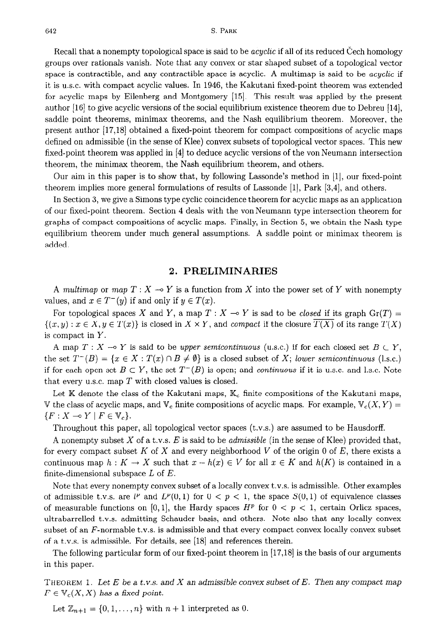Recall that a nonempty topological space is said to be *acyclic* if all of its reduced Cech homology groups over rationals vanish. *Note* that any convex or star shaped subset of a topological vector space is contractible, and any contractible space is acyclic. A multimap is said to be *acyclic* if it is U.S.C. with compact acyclic values. In 1946, the Kakutani fixed-point theorem was extended for acyclic maps by Eilenberg and Montgomery [15]. This result was applied by the present author **[16]** to give acyclic versions of the social equilibrium existence theorem due to Debreu 1141, saddle point theorems, minimax theorems, and the Nash equilibrium theorem. Moreover, the present author [17,18] obtained a fixed-point theorem for compact compositions of acyclic maps defined on admissible (in the sense of Klee) convex subsets of topological vector spaces. This new fixed-point theorem was applied in [4] to deduce acyclic versions of the von Neumann intersection theorem, the minimax theorem, the Nash equilibrium theorem, and others.

Our aim in this paper is to show that, by following Lassonde's method in [l], our fixed-point theorem implies more general formulations of results of Lassonde [l], Park [3,4], and others.

In Section 3, we give a Simons type cyclic coincidence theorem for acyclic maps as an application of our fixed-point theorem. Section 4 deals with the vonNeumann type intersection theorem for graphs of compact compositions of acyclic maps. Finally, in Section 5, we obtain the Nash type equilibrium theorem under much general assumptions. A saddle point or minimax theorem is added.

#### **2. PRELIMINARIES**

A *multimap* or *map*  $T: X \rightarrow Y$  is a function from X into the power set of Y with nonempty values, and  $x \in T^-(y)$  if and only if  $y \in T(x)$ .

For topological spaces X and Y, a map  $T : X \to Y$  is sad to be *closed* if its graph  $Gr(T) =$  $\{(x,y): x \in X, y \in T(x)\}$  is closed in  $X \times Y$ , and *compact* if the closure  $T(X)$  of its range  $T(X)$ is compact in Y.

A map  $T: X \to Y$  is said to be upper *semicontinuous* (u.s.c.) if for each closed set  $B \subset Y$ , the set  $T^-(B) = \{x \in X : T(x) \cap B \neq \emptyset\}$  is a closed subset of X; lower semicontinuous (l.s.c.) if for each open set  $B \subset Y$ , the set  $T^{-}(B)$  is open; and *continuous* if it is u.s.c. and l.s.c. Note that every U.S.C. map *T* with closed values is closed.

Let  $K$  denote the class of the Kakutani maps,  $K_c$  finite compositions of the Kakutani maps, V the class of acyclic maps, and  $V_c$  finite compositions of acyclic maps. For example,  $V_c(X, Y) =$  ${F: X \rightarrow Y \mid F \in \mathbb{V}_c}.$ 

Throughout this paper, all topological vector spaces (t.v.s.) are assumed to be Hausdorff.

A nonempty subset X of a t.v.s. E is said to be *admissible* (in the sense of Klee) provided that, for every compact subset *K* of X and every neighborhood *V* of the origin 0 of *E,* there exists a continuous map  $h: K \to X$  such that  $x - h(x) \in V$  for all  $x \in K$  and  $h(K)$  is contained in a finite-dimensional subspace *L* of *E.* 

Note that every nonempty convex subset of a locally convex t.v.s. is admissible. Other examples of admissible t.v.s. are  $l^p$  and  $L^p(0,1)$  for  $0 < p < 1$ , the space  $S(0,1)$  of equivalence classes of measurable functions on [0, 1], the Hardy spaces  $H^p$  for  $0 < p < 1$ , certain Orlicz spaces, ultrabarrelled t.v.s. admitting Schauder basis, and others. Note also that any locally convex subset of an  $F$ -normable t.v.s. is admissible and that every compact convex locally convex subset of a t.v.s. is admissible. For details, see [18] and references therein.

The following particular form of our fixed-point theorem in [17,18] is the basis of our arguments in this paper.

**THEOREM 1.** *Let E be a t.v.s. and X an admissible convex subset of E. Then any compact map*   $F \in \mathbb{V}_c(X, X)$  has a fixed point.

Let  $\mathbb{Z}_{n+1} = \{0, 1, \ldots, n\}$  with  $n+1$  interpreted as 0.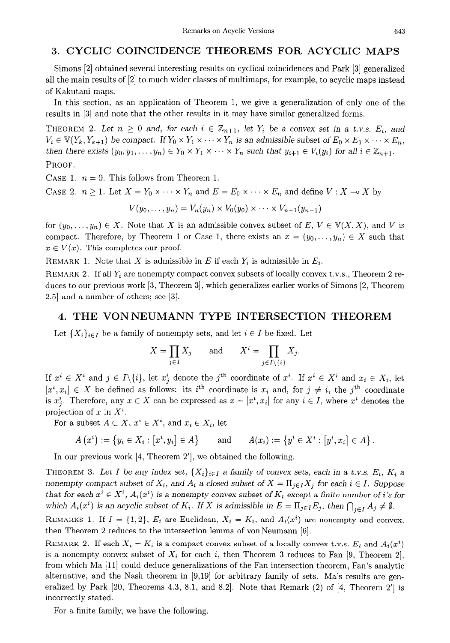# **3. CYCLIC COINCIDENCE THEOREMS FOR ACYCLIC MAPS**

Simons [2] obtained several interesting results on cyclical coincidences and Park [3] generalized all the main results of [2] to much wider classes of multimaps, for example, to acyclic maps instead of Kakutani maps.

In this section, as an application of Theorem 1, we give a generalization of only one of the results in [3] and note that the other results in it may have similar generalized forms.

THEOREM 2. Let  $n \geq 0$  and, for each  $i \in \mathbb{Z}_{n+1}$ , let  $Y_i$  be a convex set in a t.v.s.  $E_i$ , and  $V_i \in V(Y_k, Y_{k+1})$  be compact. If  $Y_0 \times Y_1 \times \cdots \times Y_n$  is an admissible subset of  $E_0 \times E_1 \times \cdots \times E_n$ , then there exists  $(y_0, y_1, \ldots, y_n) \in Y_0 \times Y_1 \times \cdots \times Y_n$  such that  $y_{i+1} \in V_i(y_i)$  for all  $i \in \mathbb{Z}_{n+1}$ . PROOF.

CASE 1.  $n = 0$ . This follows from Theorem 1.

CASE 2.  $n \geq 1$ . Let  $X = Y_0 \times \cdots \times Y_n$  and  $E = E_0 \times \cdots \times E_n$  and define  $V : X \to X$  by

 $V(y_0, \ldots, y_n) = V_n(y_n) \times V_0(y_0) \times \cdots \times V_{n-1}(y_{n-1})$ 

for  $(y_0, \ldots, y_n) \in X$ . Note that X is an admissible convex subset of  $E, V \in V(X, X)$ , and V is compact. Therefore, by Theorem 1 or Case 1, there exists an  $x = (y_0, \ldots, y_n) \in X$  such that  $x \in V(x)$ . This completes our proof.

REMARK 1. Note that X is admissible in E if each  $Y_i$  is admissible in  $E_i$ .

REMARK 2. If all  $Y_i$  are nonempty compact convex subsets of locally convex t.v.s., Theorem 2 reduces to our previous work [3, Theorem 3], which generalizes earlier works of Simons [2, Theorem 2.51 and a number of others; see [3].

## **4. THE VONNEUMANN TYPE INTERSECTION THEOREM**

Let  $\{X_i\}_{i\in I}$  be a family of nonempty sets, and let  $i\in I$  be fixed. Let

$$
X = \prod_{j \in I} X_j \quad \text{and} \quad X^i = \prod_{j \in I \setminus \{i\}} X_j.
$$

If  $x^i \in X^i$  and  $j \in I\backslash\{i\}$ , let  $x^i_j$  denote the j<sup>th</sup> coordinate of  $x^i$ . If  $x^i \in X^i$  and  $x_i \in X_i$ , let  $[x^i, x_i] \in X$  be defined as follows: its i<sup>th</sup> coordinate is  $x_i$  and, for  $j \neq i$ , the j<sup>th</sup> coordinate is  $x_i^i$ . Therefore, any  $x \in X$  can be expressed as  $x = [x^i, x_i]$  for any  $i \in I$ , where  $x^i$  denotes the projection of x in  $X^i$ .

For a subset  $A \subset X$ ,  $x^i \in X^i$ , and  $x_i \in X_i$ , let

$$
A(x^{i}) := \{y_{i} \in X_{i} : [x^{i}, y_{i}] \in A\} \quad \text{and} \quad A(x_{i}) := \{y^{i} \in X^{i} : [y^{i}, x_{i}] \in A\}.
$$

In our previous work  $[4,$  Theorem 2', we obtained the following.

THEOREM 3. Let I be any index set,  $\{X_i\}_{i\in I}$  a family of convex sets, each in a *t.v.s.*  $E_i$ ,  $K_i$  a nonempty compact subset of  $X_i$ , and  $A_i$  a closed subset of  $X = \prod_{j \in I} X_j$  for each  $i \in I$ . Suppose that for each  $x^i \in X^i$ ,  $A_i(x^i)$  is a nonempty convex subset of  $K_i$  except a finite number of *i*'s for which  $A_i(x^i)$  is an acyclic subset of  $K_i$ . If X is admissible in  $E = \prod_{j \in I} E_j$ , then  $\bigcap_{j \in I} A_j \neq \emptyset$ .

REMARKS 1. If  $I = \{1, 2\}$ ,  $E_i$  are Euclidean,  $X_i = K_i$ , and  $A_i(x^i)$  are nonempty and convex, then Theorem 2 reduces to the intersection lemma of von Neumann [6].

REMARK 2. If each  $X_i = K_i$  is a compact convex subset of a locally convex t.v.s.  $E_i$  and  $A_i(x^i)$ is a nonempty convex subset of  $X_i$  for each i, then Theorem 3 reduces to Fan [9, Theorem 2], from which Ma [ll] could deduce generalizations of the Fan intersection theorem, Fan's analytic alternative, and the Nash theorem in [9,19] for arbitrary family of sets. Ma's results are generalized by Park  $[20,$  Theorems 4.3, 8.1, and 8.2]. Note that Remark  $(2)$  of  $[4,$  Theorem  $2'$  is incorrectly stated.

For a finite family, we have the following.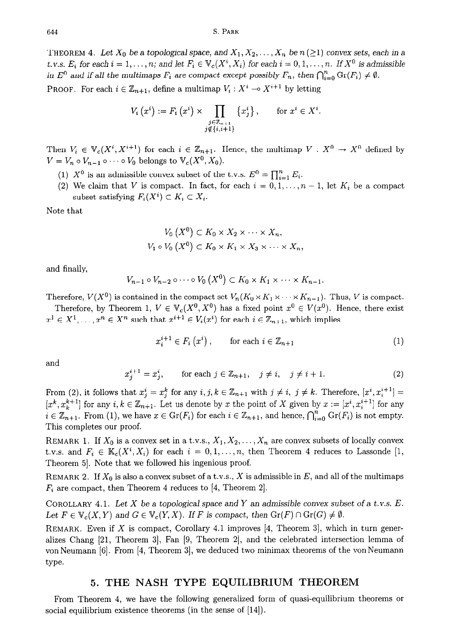THEOREM 4. Let  $X_0$  be a topological space, and  $X_1, X_2, \ldots, X_n$  be  $n (\geq 1)$  convex sets, each in a *t.v.s.*  $E_i$  for each  $i = 1, \ldots, n$ ; and let  $F_i \in V_c(X^i, X_i)$  for each  $i = 0, 1, \ldots, n$ . If  $X^0$  is admissible in  $E^0$  and if all the multimaps  $F_i$  are compact except possibly  $F_n$ , then  $\bigcap_{i=0}^n \text{Gr}(F_i) \neq \emptyset$ .

**PROOF.** For each  $i \in \mathbb{Z}_{n+1}$ , define a multimap  $V_i : X^i \to X^{i+1}$  by letting

$$
V_i(x^i) := F_i(x^i) \times \prod_{\substack{j \in \mathbb{Z}_{n+1} \\ j \notin \{i, i+1\}}} \{x_j^i\}, \quad \text{for } x^i \in X^i.
$$

Then  $V_i \in \mathbb{V}_c(X^i, X^{i+1})$  for each  $i \in \mathbb{Z}_{n+1}$ . Hence, the multimap  $V : X^0 \to X^0$  defined by  $V = V_n \circ V_{n-1} \circ \cdots \circ V_0$  belongs to  $V_c(X^0, X_0)$ .

- (1)  $X^0$  is an admissible convex subset of the t.v.s.  $E^0 = \prod_{i=1}^n E_i$ .
- (2) We claim that *V* is compact. In fact, for each  $i = 0, 1, \ldots, n 1$ , let  $K_i$  be a compact subset satisfying  $F_i(X^i) \subset K_i \subset X_i$ .

Note that

$$
V_0(X^0) \subset K_0 \times X_2 \times \cdots \times X_n,
$$
  
\n
$$
V_1 \circ V_0(X^0) \subset K_0 \times K_1 \times X_3 \times \cdots \times X_n,
$$

and finally,

$$
V_{n-1} \circ V_{n-2} \circ \cdots \circ V_0 \left( X^0 \right) \subset K_0 \times K_1 \times \cdots \times K_{n-1}.
$$

Therefore,  $V(X^0)$  is contained in the compact set  $V_n(K_0 \times K_1 \times \cdots \times K_{n-1})$ . Thus, *V* is compact.

Therefore, by Theorem 1,  $V \in V_c(X^0, X^0)$  has a fixed point  $x^0 \in V(x^0)$ . Hence, there exist  $x^1 \in X^1, \ldots, x^n \in X^n$  such that  $x^{i+1} \in V_i(x^i)$  for each  $i \in \mathbb{Z}_{n+1}$ , which implies

$$
x_{i}^{i+1} \in F_{i}(x^{i}), \qquad \text{for each } i \in \mathbb{Z}_{n+1}
$$
 (1)

and

$$
x_j^{i+1} = x_j^i, \qquad \text{for each } j \in \mathbb{Z}_{n+1}, \quad j \neq i, \quad j \neq i+1. \tag{2}
$$

From (2), it follows that  $x_j^i = x_j^k$  for any  $i, j, k \in \mathbb{Z}_{n+1}$  with  $j \neq i, j \neq k$ . Therefore,  $[x^i, x_i^{i+1}] =$  $[x^k, x_k^{k+1}]$  for any  $i, k \in \mathbb{Z}_{n+1}$ . Let us denote by x the point of X given by  $x := [x^i, x_i^{i+1}]$  for any  $i \in \mathbb{Z}_{n+1}$ . From (1), we have  $x \in \text{Gr}(F_i)$  for each  $i \in \mathbb{Z}_{n+1}$ , and hence,  $\bigcap_{i=0}^n \text{Gr}(F_i)$  is not empty. This completes our proof.

REMARK 1. If  $X_0$  is a convex set in a t.v.s.,  $X_1, X_2, \ldots, X_n$  are convex subsets of locally convex t.v.s. and  $F_i \in \mathbb{K}_c(X^i, X_i)$  for each  $i = 0, 1, ..., n$ , then Theorem 4 reduces to Lassonde [1, Theorem 5. Note that we followed his ingenious proof.

REMARK 2. If  $X_0$  is also a convex subset of a t.v.s., X is admissible in E, and all of the multimaps  $F_i$  are compact, then Theorem 4 reduces to [4, Theorem 2].

COROLLARY 4.1. *Let X be* a topological space and Y an admissible convex subset of a t.v.s. *E.*  Let  $F \in V_c(X, Y)$  and  $G \in V_c(Y, X)$ . If *F* is compact, then  $Gr(F) \cap Gr(G) \neq \emptyset$ .

REMARK. Even if X is compact, Corollary 4.1 improves  $[4,$  Theorem 3, which in turn generalizes Chang [21, Theorem 31, Fan [9, Theorem 21, and the celebrated intersection lemma of von Neumann [6]. From [4, Theorem 3], we deduced two minimax theorems of the von Neumann type.

## **5. THE NASH TYPE EQUILIBRIUM THEOREM**

From Theorem 4, we have the following generalized form of quasi-equilibrium theorems or social equilibrium existence theorems (in the sense of [14]).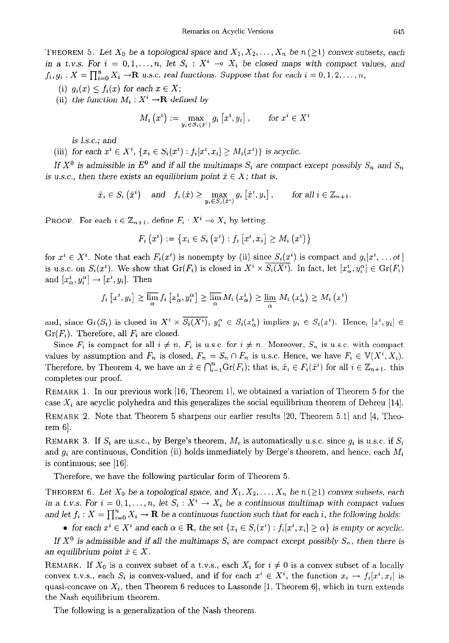THEOREM 5. Let  $X_0$  be a topological space and  $X_1, X_2, \ldots, X_n$  be  $n (\geq 1)$  convex subsets, each in a t.v.s. For  $i = 0, 1, ..., n$ , let  $S_i : X^i \to X_i$  be closed maps with compact values, and  $f_i, g_i: X = \prod_{i=0}^n X_i \rightarrow \mathbf{R}$  u.s.c. real functions. Suppose that for each  $i = 0, 1, 2, ..., n$ ,

- (i)  $g_i(x) \leq f_i(x)$  for each  $x \in X$ ;
- (ii) the function  $M_i: X^i \to \mathbf{R}$  defined by

$$
M_i\left(x^i\right) := \max_{y_i \in S_i(x^i)} g_i\left[x^i, y_i\right], \qquad \text{for } x^i \in X^i
$$

is I.s.c.; and

(iii) *for each*  $x^i \in X^i$ ,  $\{x_i \in S_i(x^i) : f_i[x^i, x_i] \geq M_i(x^i)\}\$  *is acyclic.* 

*If*  $X^0$  is admissible in  $E^0$  and *if all the multimaps*  $S_i$  are compact except possibly  $S_n$  and  $S_n$ *is u.s.c., then there exists an equilibrium point*  $\hat{x} \in X$ ; that is,

 $\hat{x}_i \in S_i(\hat{x}^i)$  and  $f_i(\hat{x}) \ge \max_{u_i \in S_i(\hat{x}^i)} g_i\left[\hat{x}^i, y_i\right]$ , for all  $i \in \mathbb{Z}_{n+1}$ .

PROOF. For each  $i \in \mathbb{Z}_{n+1}$ , define  $F_i : X^i \to X_i$  by letting

$$
F_i(x^i) := \{ x_i \in S_i(x^i) : f_i[x^i, x_i] \ge M_i(x^i) \}
$$

for  $x^i \in X^i$ . Note that each  $F_i(x^i)$  is nonempty by (ii) since  $S_i(x^i)$  is compact and  $g_i[x^i, \ldots, x^i]$ is u.s.c. on  $S_i(x^i)$ . We show that  $Gr(F_i)$  is closed in  $X^i \times S_i(X^i)$ . In fact, let  $[x^i_\alpha, y^\alpha_i] \in Gr(F_i)$ and  $[x^i_\alpha, y^\alpha_i] \rightarrow [x^i, y_i]$ . Then

$$
f_i\left[x^i, y_i\right] \ge \overline{\lim_{\alpha}} f_i\left[x^i_{\alpha}, y_i^{\alpha}\right] \ge \overline{\lim_{\alpha}} M_i\left(x^i_{\alpha}\right) \ge \underline{\lim_{\alpha}} M_i\left(x^i_{\alpha}\right) \ge M_i\left(x^i\right)
$$

and, since  $Gr(S_i)$  is closed in  $X^i \times \overline{S_i(X^i)}$ ,  $y_i^{\alpha} \in S_i(x_{\alpha}^i)$  implies  $y_i \in S_i(x^i)$ . Hence,  $[x^i, y_i] \in$ *Gr(Fi).* Therefore, all *Fi* are closed.

Since  $F_i$  is compact for all  $i \neq n$ ,  $F_i$  is u.s.c. for  $i \neq n$ . Moreover,  $S_n$  is u.s.c. with compact values by assumption and  $F_n$  is closed,  $F_n = S_n \cap F_n$  is u.s.c. Hence, we have  $F_i \in V(X^i, X_i)$ . Therefore, by Theorem 4, we have an  $\hat{x} \in \bigcap_{i=1}^n \text{Gr}(F_i)$ ; that is,  $\hat{x}_i \in F_i(\hat{x}^i)$  for all  $i \in \mathbb{Z}_{n+1}$ . this completes our proof.

REMARK 1. In our previous work [16, Theorem l], we obtained a variation of Theorem 5 for the case  $X_i$  are acyclic polyhedra and this generalizes the social equilibrium theorem of Debreu [14]. REMARK 2. Note that Theorem 5 sharpens our earlier results [20, Theorem 5.1] and [4, Theo $rem 6$ .

REMARK 3. If  $S_i$  are u.s.c., by Berge's theorem,  $M_i$  is automatically u.s.c. since  $g_i$  is u.s.c. if  $S_i$ and  $g_i$  are continuous, Condition (ii) holds immediately by Berge's theorem, and hence, each  $M_i$ is continuous; see [16].

Therefore, we have the following particular form of Theorem 5.

THEOREM 6. Let  $X_0$  be a topological space, and  $X_1, X_2, \ldots, X_n$  be  $n (\geq 1)$  convex subsets, each in a *t.v.s.* For  $i = 0, 1, ..., n$ , let  $S_i : X^i \to X_i$  be a continuous multimap with compact values and let  $f_i$ :  $X = \prod_{i=0}^n X_i \to \mathbf{R}$  be a continuous function such that for each *i*, the following holds:

• for each  $x^i \in X^i$  and each  $\alpha \in \mathbf{R}$ , the set  $\{x_i \in S_i(x^i) : f_i[x^i, x_i] \geq \alpha\}$  is empty or acyclic.

If  $X^0$  is admissible and if all the multimaps  $S_i$  are compact except possibly  $S_n$ , then there is an equilibrium point  $\hat{x} \in X$ .

REMARK. If  $X_0$  is a convex subset of a t.v.s., each  $X_i$  for  $i \neq 0$  is a convex subset of a locally convex t.v.s., each  $S_i$  is convex-valued, and if for each  $x^i \in X^i$ , the function  $x_i \to f_i[x^i, x_i]$  is quasi-concave on  $X_i$ , then Theorem 6 reduces to Lassonde [1, Theorem 6], which in turn extends the Nash equilibrium theorem.

The following is a generalization of the Nash theorem.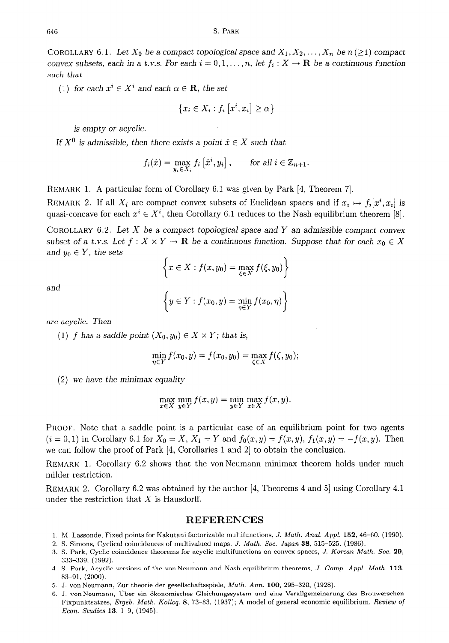COROLLARY 6.1. Let  $X_0$  be a compact topological space and  $X_1, X_2, \ldots, X_n$  be  $n (\geq 1)$  compact convex subsets, each in a t.v.s. For each  $i = 0, 1, \ldots, n$ , let  $f_i : X \to \mathbf{R}$  be a continuous function such that

(1) for each  $x^i \in X^i$  and each  $\alpha \in \mathbf{R}$ , the set

$$
\left\{x_i \in X_i : f_i\left[x^i, x_i\right] \ge \alpha\right\}
$$

is empty or acyclic.

If  $X^0$  is admissible, then there exists a point  $\hat{x} \in X$  such that

$$
f_i(\hat{x}) = \max_{y_i \in X_i} f_i\left[\hat{x}^i, y_i\right], \quad \text{for all } i \in \mathbb{Z}_{n+1}.
$$

REMARK 1. A particular form of Corollary 6.1 was given by Park [4, Theorem 71.

REMARK 2. If all  $X_i$  are compact convex subsets of Euclidean spaces and if  $x_i \mapsto f_i[x^i, x_i]$  is quasi-concave for each  $x^i \in X^i$ , then Corollary 6.1 reduces to the Nash equilibrium theorem [8].

COROLLARY 6.2. Let X be a compact topological space and Y an admissible compact *convex*  subset of a t.v.s. Let  $f: X \times Y \to \mathbf{R}$  be a continuous function. Suppose that for each  $x_0 \in X$ and  $y_0 \in Y$ , the sets

$$
\left\{x \in X : f(x, y_0) = \max_{\xi \in X} f(\xi, y_0)\right\}
$$

and

$$
\left\{ y \in Y : f(x_0, y) = \min_{\eta \in Y} f(x_0, \eta) \right\}
$$

are acyclic. Then

(1) f has a saddle point  $(X_0, y_0) \in X \times Y$ ; that is,

$$
\min_{\eta \in Y} f(x_0, y) = f(x_0, y_0) = \max_{\zeta \in X} f(\zeta, y_0);
$$

(2) we have *the* minimax equality

$$
\max_{x \in X} \min_{y \in Y} f(x, y) = \min_{y \in Y} \max_{x \in X} f(x, y).
$$

PROOF. Note that a saddle point is a particular case of an equilibrium point for two agents  $(i = 0, 1)$  in Corollary 6.1 for  $X_0 = X$ ,  $X_1 = Y$  and  $f_0(x, y) = f(x, y)$ ,  $f_1(x, y) = -f(x, y)$ . Then we can follow the proof of Park [4, Corollaries 1 and 2] to obtain the conclusion.

REMARK 1. Corollary 6.2 shows that the von Neumann minimax theorem holds under much milder restriction.

REMARK 2. Corollary 6.2 was obtained by the author [4, Theorems 4 and 5] using Corollary 4.1 under the restriction that  $X$  is Hausdorff.

## **REFERENCES**

- 1. M. Lassonde, Fixed points for Kakutani factorizable multifunctions, J. Math. *Anal.* Appl. 152, 46-60, (1990).
- 2. S. Simons, Cyclical coincidences of multivalued maps, J. Math. Soc. Japan 38, 515-525, (1986).
- 3. S. Park, Cyclic coincidence theorems for acyclic multifunctions on convex spaces, J. Korean Math. Soc. 29, 333-339, (1992).
- 4. S. Park, Acyclic versions of the van Neumann and Nash equilibrium theorems, J. Comp. *Appl. Math.* 113, 83-91, (2000).
- 5. J. van Neumann, Zur theorie der gesellschaftsspiele, Math. *Ann.* 100, 295-320, (1928).
- 6. J. von Neumann, Über ein ökonomisches Gleichungssystem und eine Verallgemeinerung des Brouwerscher Fixpunktsatzes, Ergeb. Math. Kolloq. 8, 73-83, (1937); A model of general economic equilibrium, *Review of Econ. Studies* 13, l-9, (1945).